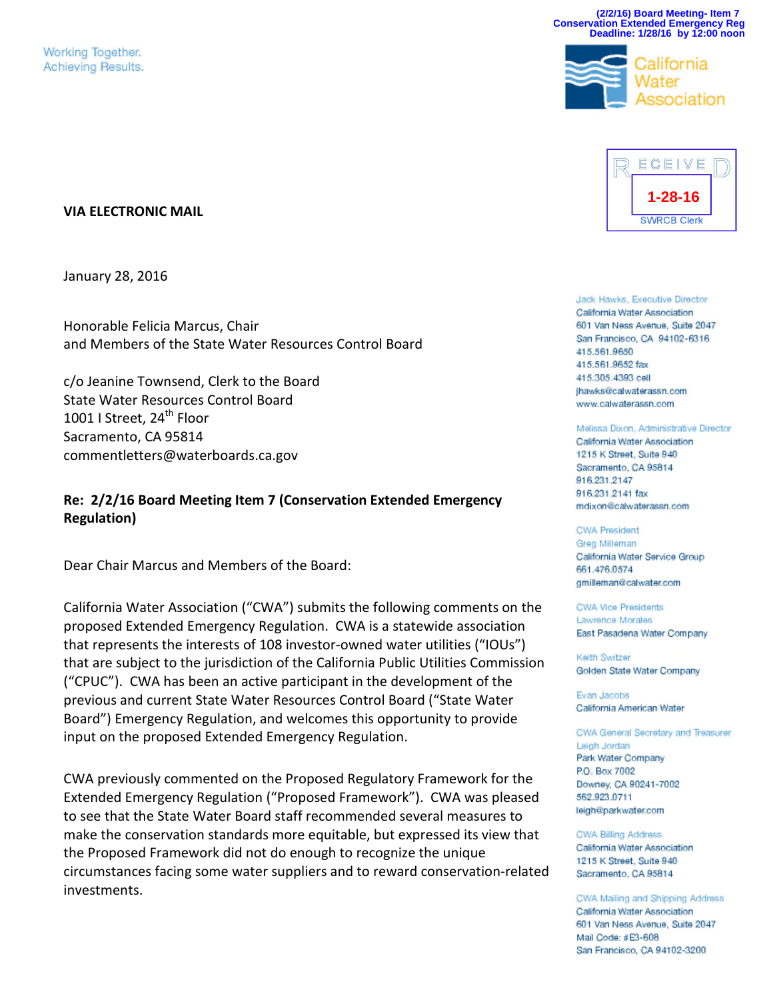Working Together. Achieving Results.

#### **VIA ELECTRONIC MAIL**

January 28, 2016

Honorable Felicia Marcus, Chair and Members of the State Water Resources Control Board

c/o Jeanine Townsend, Clerk to the Board State Water Resources Control Board 1001 I Street,  $24^{\text{th}}$  Floor Sacramento, CA 95814 commentletters@waterboards.ca.gov

## **Re: 2/2/16 Board Meeting Item 7 (Conservation Extended Emergency Regulation)**

Dear Chair Marcus and Members of the Board:

California Water Association ("CWA") submits the following comments on the proposed Extended Emergency Regulation. CWA is a statewide association that represents the interests of 108 investor-owned water utilities ("IOUs") that are subject to the jurisdiction of the California Public Utilities Commission ("CPUC"). CWA has been an active participant in the development of the previous and current State Water Resources Control Board ("State Water Board") Emergency Regulation, and welcomes this opportunity to provide input on the proposed Extended Emergency Regulation.

CWA previously commented on the Proposed Regulatory Framework for the Extended Emergency Regulation ("Proposed Framework"). CWA was pleased to see that the State Water Board staff recommended several measures to make the conservation standards more equitable, but expressed its view that the Proposed Framework did not do enough to recognize the unique circumstances facing some water suppliers and to reward conservation-related investments.



ECEIVE

**(2/2/16) Board Meeting- Item 7 Conservation Extended Emergency Reg Deadline: 1/28/16 by 12:00 noon**

≿alifornia

Jack Hawks, Executive Director California Water Association 601 Van Ness Avenue, Suite 2047 San Francisco, CA 94102-6316 415.561.9650 415.561.9652 fax 415.305.4393 cell ihawks@calwaterassn.com www.calwaterassn.com

#### Melissa Dixon, Administrative Director

California Water Association 1215 K Street, Suite 940 Sacramento, CA 95814 916.231.2147 916.231.2141 fax mdixon@calwaterassn.com

**CWA President** Greg Milleman California Water Service Group 661.476.0574 gmilleman@calwater.com

**CWA Vice Presidents** Lawrence Morales East Pasadena Water Company

Keith Switzer Golden State Water Company

Evan Jacobs California American Water

CWA General Secretary and Treasurer Leigh Jordan Park Water Company P.O. Box 7002 Downey, CA 90241-7002 562.923.0711 leigh@parkwater.com

**CWA Billing Address** California Water Association 1215 K Street, Suite 940 Sacramento, CA 95814

CWA Mailing and Shipping Address California Water Association 601 Van Ness Avenue, Suite 2047 Mail Code: #E3-608 San Francisco, CA 94102-3200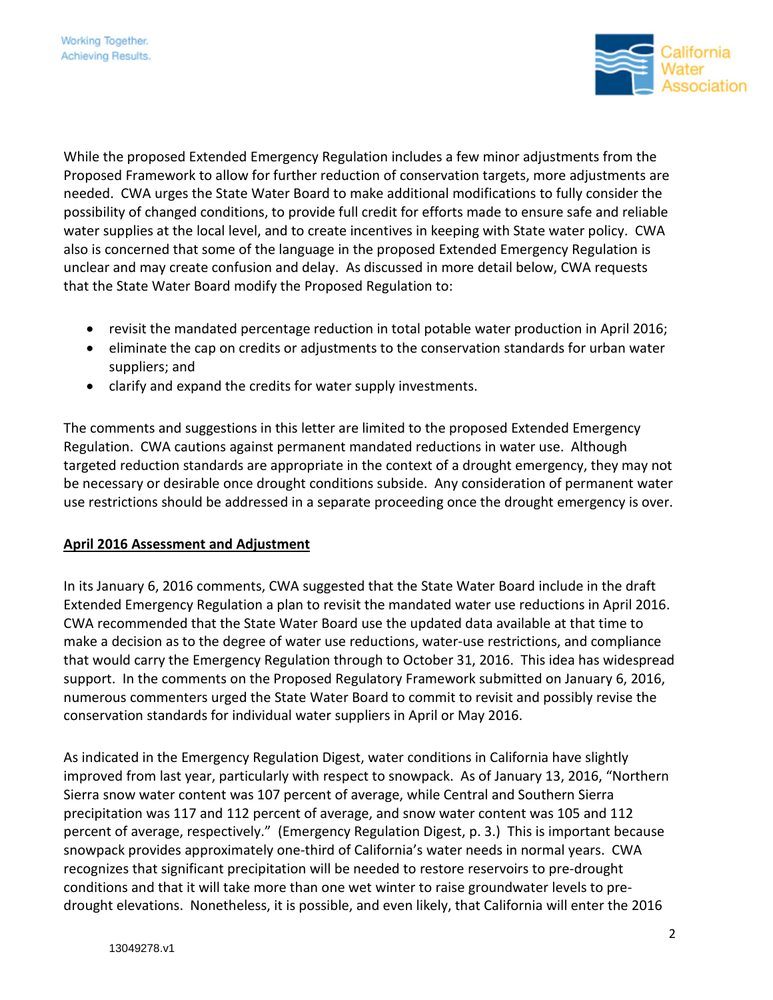

While the proposed Extended Emergency Regulation includes a few minor adjustments from the Proposed Framework to allow for further reduction of conservation targets, more adjustments are needed. CWA urges the State Water Board to make additional modifications to fully consider the possibility of changed conditions, to provide full credit for efforts made to ensure safe and reliable water supplies at the local level, and to create incentives in keeping with State water policy. CWA also is concerned that some of the language in the proposed Extended Emergency Regulation is unclear and may create confusion and delay. As discussed in more detail below, CWA requests that the State Water Board modify the Proposed Regulation to:

- revisit the mandated percentage reduction in total potable water production in April 2016;
- eliminate the cap on credits or adjustments to the conservation standards for urban water suppliers; and
- clarify and expand the credits for water supply investments.

The comments and suggestions in this letter are limited to the proposed Extended Emergency Regulation. CWA cautions against permanent mandated reductions in water use. Although targeted reduction standards are appropriate in the context of a drought emergency, they may not be necessary or desirable once drought conditions subside. Any consideration of permanent water use restrictions should be addressed in a separate proceeding once the drought emergency is over.

## **April 2016 Assessment and Adjustment**

In its January 6, 2016 comments, CWA suggested that the State Water Board include in the draft Extended Emergency Regulation a plan to revisit the mandated water use reductions in April 2016. CWA recommended that the State Water Board use the updated data available at that time to make a decision as to the degree of water use reductions, water-use restrictions, and compliance that would carry the Emergency Regulation through to October 31, 2016. This idea has widespread support. In the comments on the Proposed Regulatory Framework submitted on January 6, 2016, numerous commenters urged the State Water Board to commit to revisit and possibly revise the conservation standards for individual water suppliers in April or May 2016.

As indicated in the Emergency Regulation Digest, water conditions in California have slightly improved from last year, particularly with respect to snowpack. As of January 13, 2016, "Northern Sierra snow water content was 107 percent of average, while Central and Southern Sierra precipitation was 117 and 112 percent of average, and snow water content was 105 and 112 percent of average, respectively." (Emergency Regulation Digest, p. 3.) This is important because snowpack provides approximately one-third of California's water needs in normal years. CWA recognizes that significant precipitation will be needed to restore reservoirs to pre-drought conditions and that it will take more than one wet winter to raise groundwater levels to predrought elevations. Nonetheless, it is possible, and even likely, that California will enter the 2016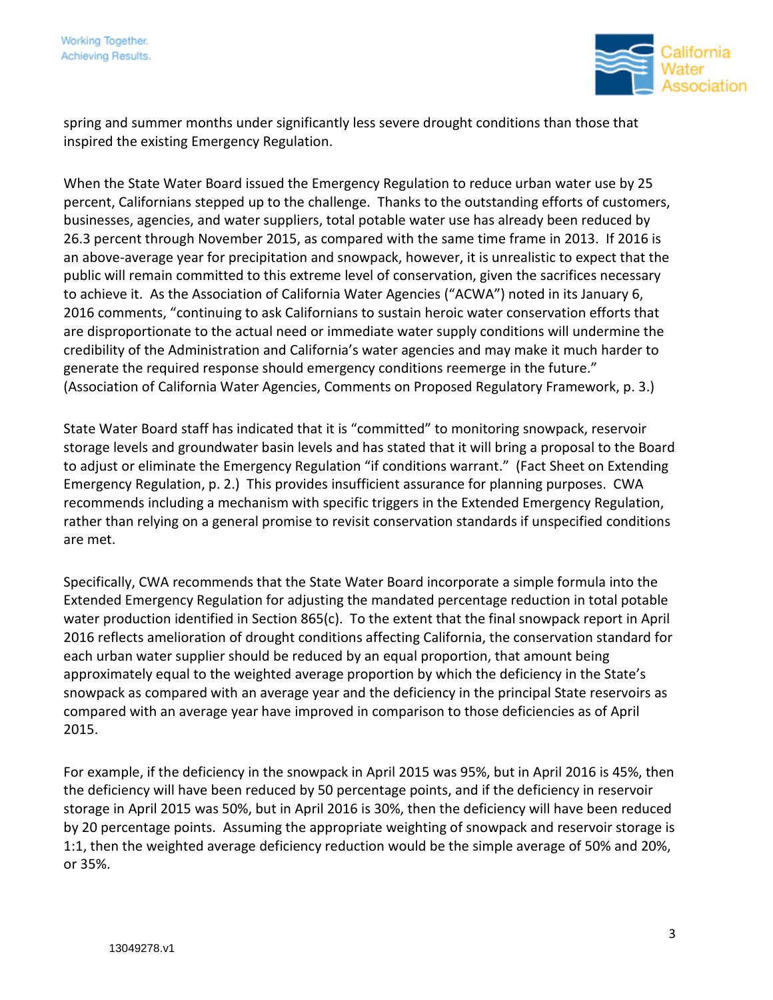

spring and summer months under significantly less severe drought conditions than those that inspired the existing Emergency Regulation.

When the State Water Board issued the Emergency Regulation to reduce urban water use by 25 percent, Californians stepped up to the challenge. Thanks to the outstanding efforts of customers, businesses, agencies, and water suppliers, total potable water use has already been reduced by 26.3 percent through November 2015, as compared with the same time frame in 2013. If 2016 is an above-average year for precipitation and snowpack, however, it is unrealistic to expect that the public will remain committed to this extreme level of conservation, given the sacrifices necessary to achieve it. As the Association of California Water Agencies ("ACWA") noted in its January 6, 2016 comments, "continuing to ask Californians to sustain heroic water conservation efforts that are disproportionate to the actual need or immediate water supply conditions will undermine the credibility of the Administration and California's water agencies and may make it much harder to generate the required response should emergency conditions reemerge in the future." (Association of California Water Agencies, Comments on Proposed Regulatory Framework, p. 3.)

State Water Board staff has indicated that it is "committed" to monitoring snowpack, reservoir storage levels and groundwater basin levels and has stated that it will bring a proposal to the Board to adjust or eliminate the Emergency Regulation "if conditions warrant." (Fact Sheet on Extending Emergency Regulation, p. 2.) This provides insufficient assurance for planning purposes. CWA recommends including a mechanism with specific triggers in the Extended Emergency Regulation, rather than relying on a general promise to revisit conservation standards if unspecified conditions are met.

Specifically, CWA recommends that the State Water Board incorporate a simple formula into the Extended Emergency Regulation for adjusting the mandated percentage reduction in total potable water production identified in Section 865(c). To the extent that the final snowpack report in April 2016 reflects amelioration of drought conditions affecting California, the conservation standard for each urban water supplier should be reduced by an equal proportion, that amount being approximately equal to the weighted average proportion by which the deficiency in the State's snowpack as compared with an average year and the deficiency in the principal State reservoirs as compared with an average year have improved in comparison to those deficiencies as of April 2015.

For example, if the deficiency in the snowpack in April 2015 was 95%, but in April 2016 is 45%, then the deficiency will have been reduced by 50 percentage points, and if the deficiency in reservoir storage in April 2015 was 50%, but in April 2016 is 30%, then the deficiency will have been reduced by 20 percentage points. Assuming the appropriate weighting of snowpack and reservoir storage is 1:1, then the weighted average deficiency reduction would be the simple average of 50% and 20%, or 35%.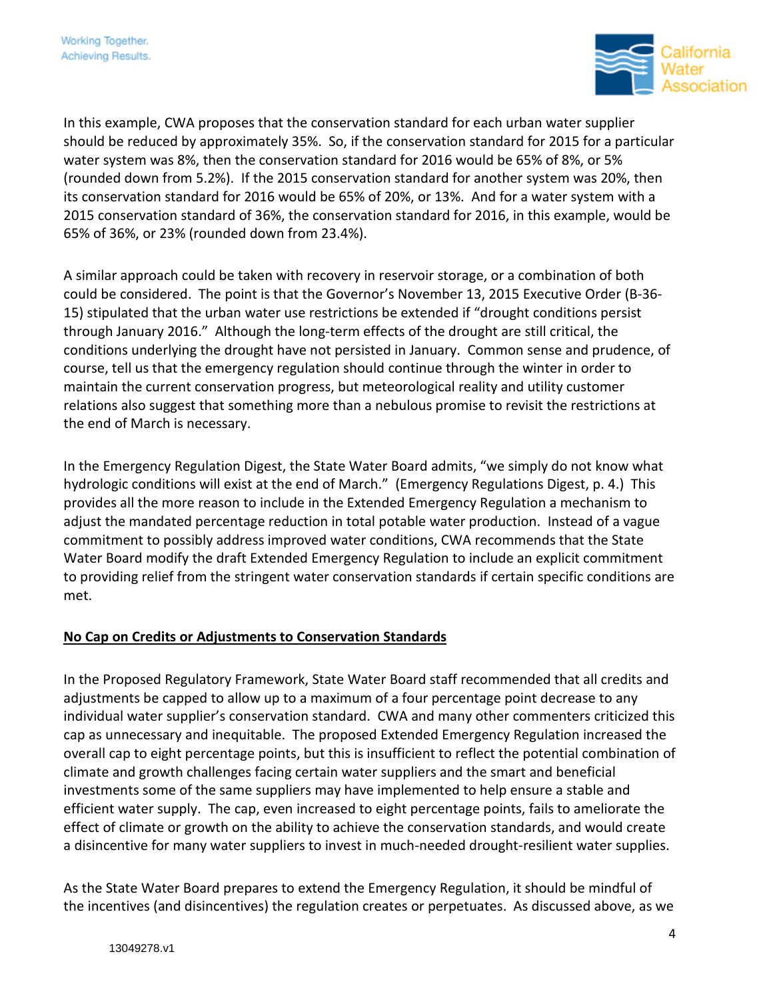

In this example, CWA proposes that the conservation standard for each urban water supplier should be reduced by approximately 35%. So, if the conservation standard for 2015 for a particular water system was 8%, then the conservation standard for 2016 would be 65% of 8%, or 5% (rounded down from 5.2%). If the 2015 conservation standard for another system was 20%, then its conservation standard for 2016 would be 65% of 20%, or 13%. And for a water system with a 2015 conservation standard of 36%, the conservation standard for 2016, in this example, would be 65% of 36%, or 23% (rounded down from 23.4%).

A similar approach could be taken with recovery in reservoir storage, or a combination of both could be considered. The point is that the Governor's November 13, 2015 Executive Order (B-36- 15) stipulated that the urban water use restrictions be extended if "drought conditions persist through January 2016." Although the long-term effects of the drought are still critical, the conditions underlying the drought have not persisted in January. Common sense and prudence, of course, tell us that the emergency regulation should continue through the winter in order to maintain the current conservation progress, but meteorological reality and utility customer relations also suggest that something more than a nebulous promise to revisit the restrictions at the end of March is necessary.

In the Emergency Regulation Digest, the State Water Board admits, "we simply do not know what hydrologic conditions will exist at the end of March." (Emergency Regulations Digest, p. 4.) This provides all the more reason to include in the Extended Emergency Regulation a mechanism to adjust the mandated percentage reduction in total potable water production. Instead of a vague commitment to possibly address improved water conditions, CWA recommends that the State Water Board modify the draft Extended Emergency Regulation to include an explicit commitment to providing relief from the stringent water conservation standards if certain specific conditions are met.

## **No Cap on Credits or Adjustments to Conservation Standards**

In the Proposed Regulatory Framework, State Water Board staff recommended that all credits and adjustments be capped to allow up to a maximum of a four percentage point decrease to any individual water supplier's conservation standard. CWA and many other commenters criticized this cap as unnecessary and inequitable. The proposed Extended Emergency Regulation increased the overall cap to eight percentage points, but this is insufficient to reflect the potential combination of climate and growth challenges facing certain water suppliers and the smart and beneficial investments some of the same suppliers may have implemented to help ensure a stable and efficient water supply. The cap, even increased to eight percentage points, fails to ameliorate the effect of climate or growth on the ability to achieve the conservation standards, and would create a disincentive for many water suppliers to invest in much-needed drought-resilient water supplies.

As the State Water Board prepares to extend the Emergency Regulation, it should be mindful of the incentives (and disincentives) the regulation creates or perpetuates. As discussed above, as we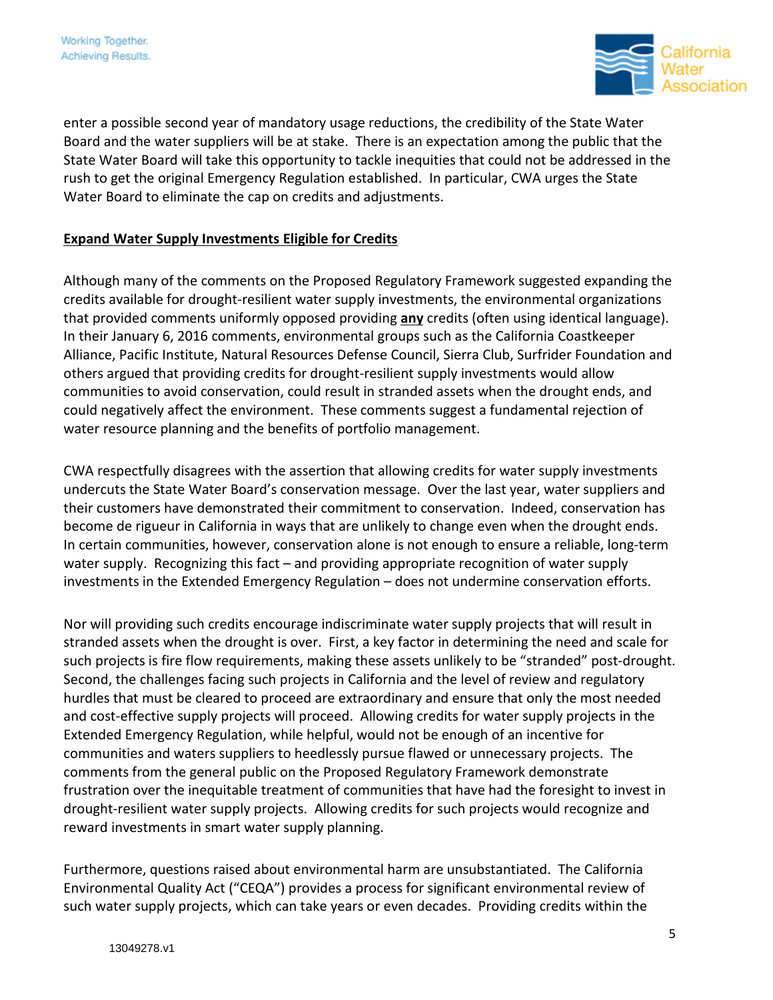

enter a possible second year of mandatory usage reductions, the credibility of the State Water Board and the water suppliers will be at stake. There is an expectation among the public that the State Water Board will take this opportunity to tackle inequities that could not be addressed in the rush to get the original Emergency Regulation established. In particular, CWA urges the State Water Board to eliminate the cap on credits and adjustments.

# **Expand Water Supply Investments Eligible for Credits**

Although many of the comments on the Proposed Regulatory Framework suggested expanding the credits available for drought-resilient water supply investments, the environmental organizations that provided comments uniformly opposed providing **any** credits (often using identical language). In their January 6, 2016 comments, environmental groups such as the California Coastkeeper Alliance, Pacific Institute, Natural Resources Defense Council, Sierra Club, Surfrider Foundation and others argued that providing credits for drought-resilient supply investments would allow communities to avoid conservation, could result in stranded assets when the drought ends, and could negatively affect the environment. These comments suggest a fundamental rejection of water resource planning and the benefits of portfolio management.

CWA respectfully disagrees with the assertion that allowing credits for water supply investments undercuts the State Water Board's conservation message. Over the last year, water suppliers and their customers have demonstrated their commitment to conservation. Indeed, conservation has become de rigueur in California in ways that are unlikely to change even when the drought ends. In certain communities, however, conservation alone is not enough to ensure a reliable, long-term water supply. Recognizing this fact – and providing appropriate recognition of water supply investments in the Extended Emergency Regulation – does not undermine conservation efforts.

Nor will providing such credits encourage indiscriminate water supply projects that will result in stranded assets when the drought is over. First, a key factor in determining the need and scale for such projects is fire flow requirements, making these assets unlikely to be "stranded" post-drought. Second, the challenges facing such projects in California and the level of review and regulatory hurdles that must be cleared to proceed are extraordinary and ensure that only the most needed and cost-effective supply projects will proceed. Allowing credits for water supply projects in the Extended Emergency Regulation, while helpful, would not be enough of an incentive for communities and waters suppliers to heedlessly pursue flawed or unnecessary projects. The comments from the general public on the Proposed Regulatory Framework demonstrate frustration over the inequitable treatment of communities that have had the foresight to invest in drought-resilient water supply projects. Allowing credits for such projects would recognize and reward investments in smart water supply planning.

Furthermore, questions raised about environmental harm are unsubstantiated. The California Environmental Quality Act ("CEQA") provides a process for significant environmental review of such water supply projects, which can take years or even decades. Providing credits within the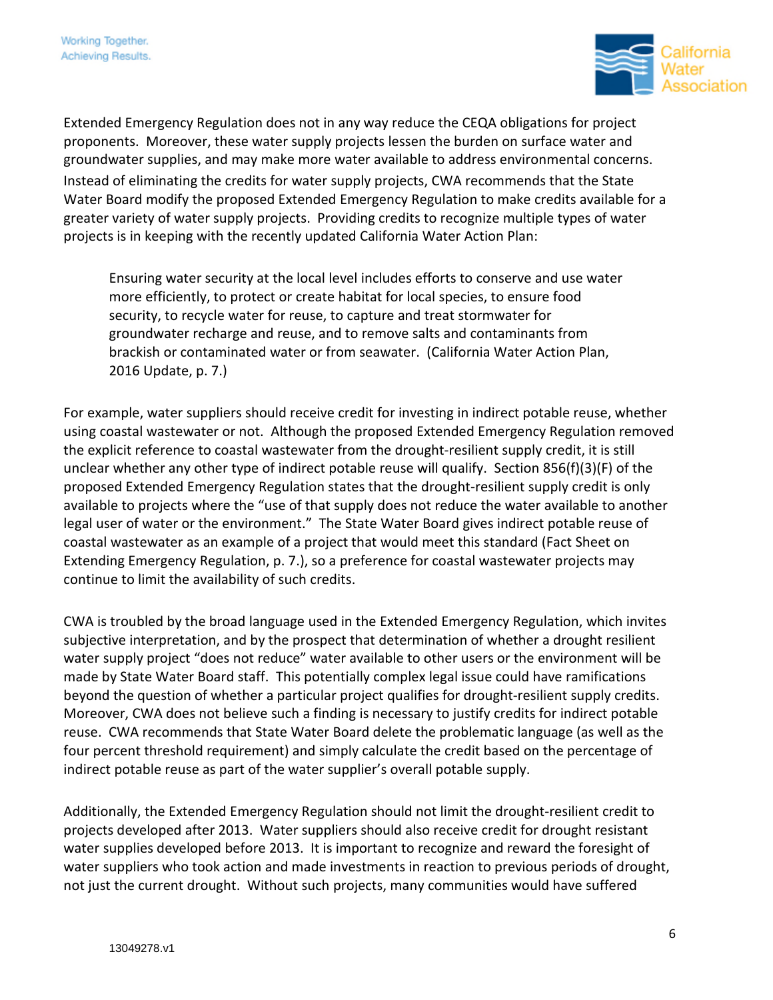

Extended Emergency Regulation does not in any way reduce the CEQA obligations for project proponents. Moreover, these water supply projects lessen the burden on surface water and groundwater supplies, and may make more water available to address environmental concerns. Instead of eliminating the credits for water supply projects, CWA recommends that the State Water Board modify the proposed Extended Emergency Regulation to make credits available for a greater variety of water supply projects. Providing credits to recognize multiple types of water projects is in keeping with the recently updated California Water Action Plan:

Ensuring water security at the local level includes efforts to conserve and use water more efficiently, to protect or create habitat for local species, to ensure food security, to recycle water for reuse, to capture and treat stormwater for groundwater recharge and reuse, and to remove salts and contaminants from brackish or contaminated water or from seawater. (California Water Action Plan, 2016 Update, p. 7.)

For example, water suppliers should receive credit for investing in indirect potable reuse, whether using coastal wastewater or not. Although the proposed Extended Emergency Regulation removed the explicit reference to coastal wastewater from the drought-resilient supply credit, it is still unclear whether any other type of indirect potable reuse will qualify. Section 856(f)(3)(F) of the proposed Extended Emergency Regulation states that the drought-resilient supply credit is only available to projects where the "use of that supply does not reduce the water available to another legal user of water or the environment." The State Water Board gives indirect potable reuse of coastal wastewater as an example of a project that would meet this standard (Fact Sheet on Extending Emergency Regulation, p. 7.), so a preference for coastal wastewater projects may continue to limit the availability of such credits.

CWA is troubled by the broad language used in the Extended Emergency Regulation, which invites subjective interpretation, and by the prospect that determination of whether a drought resilient water supply project "does not reduce" water available to other users or the environment will be made by State Water Board staff. This potentially complex legal issue could have ramifications beyond the question of whether a particular project qualifies for drought-resilient supply credits. Moreover, CWA does not believe such a finding is necessary to justify credits for indirect potable reuse. CWA recommends that State Water Board delete the problematic language (as well as the four percent threshold requirement) and simply calculate the credit based on the percentage of indirect potable reuse as part of the water supplier's overall potable supply.

Additionally, the Extended Emergency Regulation should not limit the drought-resilient credit to projects developed after 2013. Water suppliers should also receive credit for drought resistant water supplies developed before 2013. It is important to recognize and reward the foresight of water suppliers who took action and made investments in reaction to previous periods of drought, not just the current drought. Without such projects, many communities would have suffered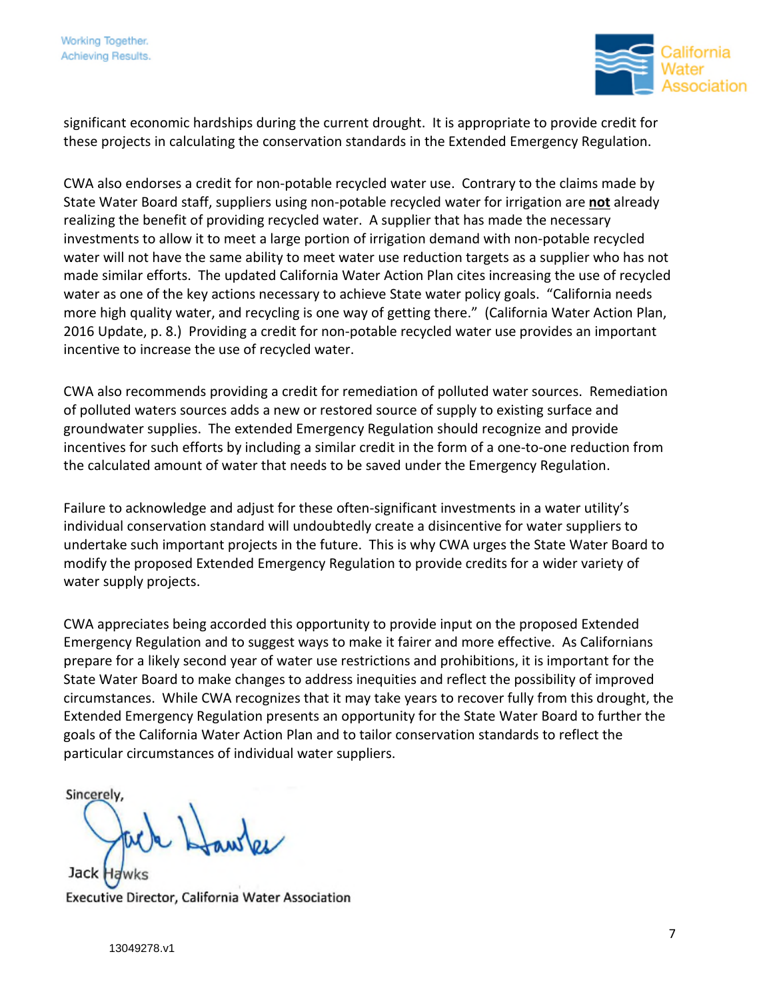

significant economic hardships during the current drought. It is appropriate to provide credit for these projects in calculating the conservation standards in the Extended Emergency Regulation.

CWA also endorses a credit for non-potable recycled water use. Contrary to the claims made by State Water Board staff, suppliers using non-potable recycled water for irrigation are **not** already realizing the benefit of providing recycled water. A supplier that has made the necessary investments to allow it to meet a large portion of irrigation demand with non-potable recycled water will not have the same ability to meet water use reduction targets as a supplier who has not made similar efforts. The updated California Water Action Plan cites increasing the use of recycled water as one of the key actions necessary to achieve State water policy goals. "California needs more high quality water, and recycling is one way of getting there." (California Water Action Plan, 2016 Update, p. 8.) Providing a credit for non-potable recycled water use provides an important incentive to increase the use of recycled water.

CWA also recommends providing a credit for remediation of polluted water sources. Remediation of polluted waters sources adds a new or restored source of supply to existing surface and groundwater supplies. The extended Emergency Regulation should recognize and provide incentives for such efforts by including a similar credit in the form of a one-to-one reduction from the calculated amount of water that needs to be saved under the Emergency Regulation.

Failure to acknowledge and adjust for these often-significant investments in a water utility's individual conservation standard will undoubtedly create a disincentive for water suppliers to undertake such important projects in the future. This is why CWA urges the State Water Board to modify the proposed Extended Emergency Regulation to provide credits for a wider variety of water supply projects.

CWA appreciates being accorded this opportunity to provide input on the proposed Extended Emergency Regulation and to suggest ways to make it fairer and more effective. As Californians prepare for a likely second year of water use restrictions and prohibitions, it is important for the State Water Board to make changes to address inequities and reflect the possibility of improved circumstances. While CWA recognizes that it may take years to recover fully from this drought, the Extended Emergency Regulation presents an opportunity for the State Water Board to further the goals of the California Water Action Plan and to tailor conservation standards to reflect the particular circumstances of individual water suppliers.

Sincerely

Jack I Executive Director, California Water Association